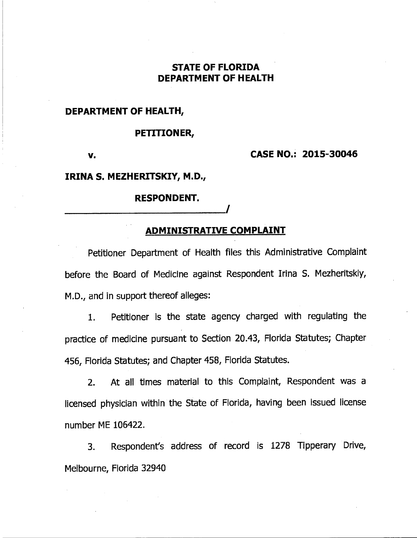# **STATE OF FLORIDA DEPARTMENT OF HEALTH**

**DEPARTMENT OF HEALTH,** 

#### **PETITIONER,**

**v.** 

**CASE NO.: 2015-30046** 

## **IRINA S. MEZHERITSKIY, M.D.,**

#### **RESPONDENT.**

## **ADMINISTRATIVE COMPLAINT**

Petitioner Department of Health files this Administrative Complaint before the Board of Medicine against Respondent Irina S. Mezheritskiy, M.D., and in support thereof alleges:

1. Petitioner is the state agency charged with regulating the practice of medicine pursuant to Section 20.43, Florida Statutes; Chapter 456, Florida Statutes; and Chapter 458, Florida Statutes.

2. At all times material to this Complaint, Respondent was a licensed physician within the State of Florida, having been issued license number ME 106422.

3. Respondent's address of record is 1278 Tipperary Drive, Melbourne, Florida 32940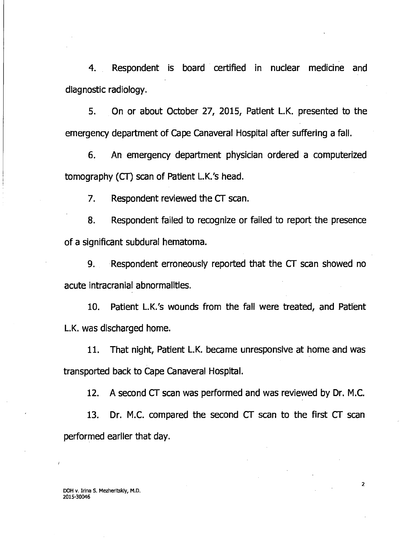**4. Respondent is board certified in nuclear medicine and diagnostic radiology.** 

**5. On or about October 27, 2015, Patient L.K. presented to the emergency department of Cape Canaveral Hospital after suffering a fall.** 

**6. An emergency department physician ordered a computerized tomography (CT) scan of Patient L.K.'s head.** 

**7. Respondent reviewed the CT scan.** 

**8. Respondent failed to recognize or failed to report the presence of a significant subdural hematoma.** 

**9. Respondent erroneously reported that the CT scan showed no acute intracranial abnormalities.** 

**10. Patient L.K.'s wounds from the fall were treated, and Patient L.K. was discharged home.** 

**11. That night, Patient L.K. became unresponsive at home and was transported back to Cape Canaveral Hospital.** 

**12. A second CT scan was performed and was reviewed by Dr. M.C.** 

**13. Dr. M.C. compared the second CT scan to the first CT scan performed earlier that day.** 

2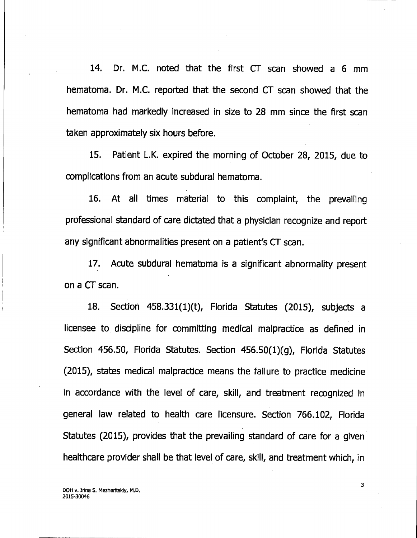14. Dr. M.C. noted that the first CT scan showed a 6 mm hematoma. Dr. M.C. reported that the second CT scan showed that the hematoma had markedly increased in size to 28 mm since the first scan taken approximately six hours before.

15. Patient L.K. expired the morning of October 28, 2015, due to complications from an acute subdural hematoma.

16. At all times material to this complaint, the prevailing professional standard of care dictated that a physician recognize and report any significant abnormalities present on a patient's CT scan.

17. Acute subdural hematoma is a significant abnormality present on a CT scan.

18. Section 458.331(1)(t), Florida Statutes (2015), subjects a licensee to discipline for committing medical malpractice as defined in Section 456.50, Florida Statutes. Section 456.50(1)(g), Florida Statutes (2015), states medical malpractice means the failure to practice medicine in accordance with the level of care, skill, and treatment recognized in general law related to health care licensure. Section 766.102, Florida Statutes (2015), provides that the prevailing standard of care for a given healthcare provider shall be that level of care, skill, and treatment which, in

DOH v. Irina S. Mezheritskiy, M.D. 2015-30046

3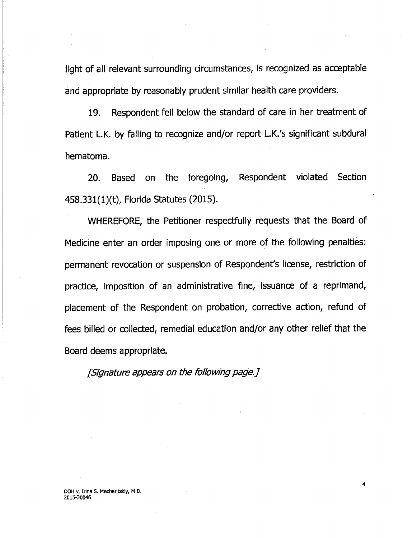light of all relevant surrounding circumstances, is recognized as acceptable and appropriate by reasonably prudent similar health care providers.

19. Respondent fell below the standard of care in her treatment of Patient L.K. by failing to recognize and/or report L.K.'s significant subdural hematoma.

20. Based on the foregoing, Respondent violated Section 458.331(1)(t), Florida Statutes (2015).

• WHEREFORE, the Petitioner respectfully requests that the Board of Medicine enter an order imposing one or more of the following penalties: permanent revocation or suspension of Respondent's license, restriction of practice, imposition of an administrative fine, issuance of a reprimand, placement of the Respondent on probation, corrective action, refund of fees billed or collected, remedial education and/or any other relief that the Board deems appropriate.

[Signature appears on the following page.]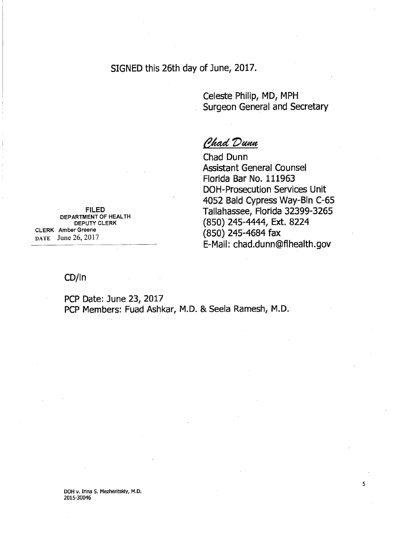SIGNED this 26th day of June, 2017.

Celeste Philip, MD, MPH Surgeon General and Secretary

**Chad Dunn** 

Chad Dunn Assistant General Counsel Florida Bar No. 111963 DOH-Prosecution Services Unit 4052 Bald Cypress Way-Bin C-65 Tallahassee, Florida 32399-3265 (850) 245-4444, Ext. 8224 (850) 245-4684 fax E-Mail: chad.dunn@flhealth.gov

**FILED**  DEPARTMENT OF HEALTH DEPUTY CLERK CLERK Amber Greene DATE June 26, 2017

## CD/In

PCP Date: June 23, 2017 PCP Members: Fuad Ashkar, M.D. & Seela Ramesh, M.D.

DOH v. Irina S. Mezheritskiy, M.D. 2015-30046